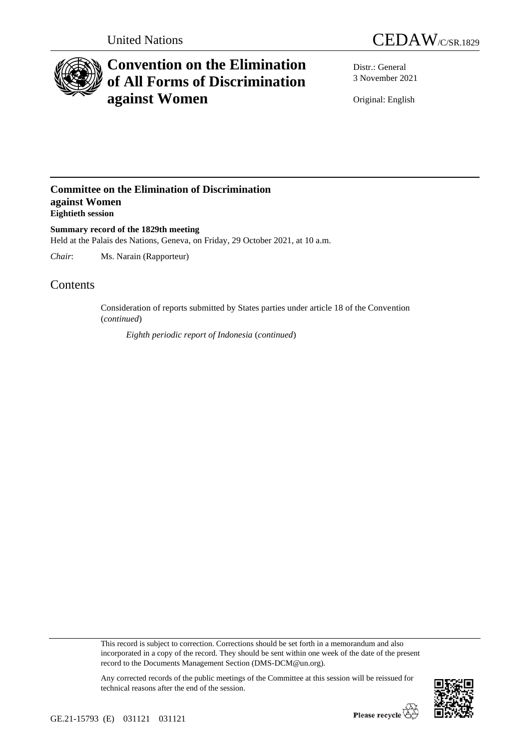



# **Convention on the Elimination of All Forms of Discrimination against Women**

Distr.: General 3 November 2021

Original: English

## **Committee on the Elimination of Discrimination against Women Eightieth session**

**Summary record of the 1829th meeting** Held at the Palais des Nations, Geneva, on Friday, 29 October 2021, at 10 a.m.

*Chair*: Ms. Narain (Rapporteur)

# **Contents**

Consideration of reports submitted by States parties under article 18 of the Convention (*continued*)

*Eighth periodic report of Indonesia* (*continued*)

This record is subject to correction. Corrections should be set forth in a memorandum and also incorporated in a copy of the record. They should be sent within one week of the date of the present record to the Documents Management Section (DMS-DCM@un.org).



Any corrected records of the public meetings of the Committee at this session will be reissued for technical reasons after the end of the session.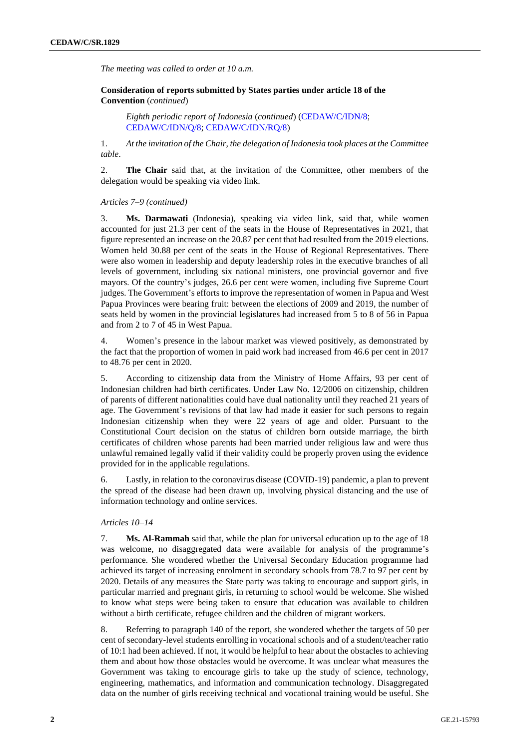*The meeting was called to order at 10 a.m.*

**Consideration of reports submitted by States parties under article 18 of the Convention** (*continued*)

*Eighth periodic report of Indonesia* (*continued*) [\(CEDAW/C/IDN/8;](http://undocs.org/en/CEDAW/C/IDN/8) [CEDAW/C/IDN/Q/8;](http://undocs.org/en/CEDAW/C/IDN/Q/8) [CEDAW/C/IDN/RQ/8\)](http://undocs.org/en/CEDAW/C/IDN/RQ/8)

1. *At the invitation of the Chair, the delegation of Indonesia took places at the Committee table*.

2. **The Chair** said that, at the invitation of the Committee, other members of the delegation would be speaking via video link.

#### *Articles 7–9 (continued)*

3. **Ms. Darmawati** (Indonesia), speaking via video link, said that, while women accounted for just 21.3 per cent of the seats in the House of Representatives in 2021, that figure represented an increase on the 20.87 per cent that had resulted from the 2019 elections. Women held 30.88 per cent of the seats in the House of Regional Representatives. There were also women in leadership and deputy leadership roles in the executive branches of all levels of government, including six national ministers, one provincial governor and five mayors. Of the country's judges, 26.6 per cent were women, including five Supreme Court judges. The Government's efforts to improve the representation of women in Papua and West Papua Provinces were bearing fruit: between the elections of 2009 and 2019, the number of seats held by women in the provincial legislatures had increased from 5 to 8 of 56 in Papua and from 2 to 7 of 45 in West Papua.

4. Women's presence in the labour market was viewed positively, as demonstrated by the fact that the proportion of women in paid work had increased from 46.6 per cent in 2017 to 48.76 per cent in 2020.

5. According to citizenship data from the Ministry of Home Affairs, 93 per cent of Indonesian children had birth certificates. Under Law No. 12/2006 on citizenship, children of parents of different nationalities could have dual nationality until they reached 21 years of age. The Government's revisions of that law had made it easier for such persons to regain Indonesian citizenship when they were 22 years of age and older. Pursuant to the Constitutional Court decision on the status of children born outside marriage, the birth certificates of children whose parents had been married under religious law and were thus unlawful remained legally valid if their validity could be properly proven using the evidence provided for in the applicable regulations.

6. Lastly, in relation to the coronavirus disease (COVID-19) pandemic, a plan to prevent the spread of the disease had been drawn up, involving physical distancing and the use of information technology and online services.

### *Articles 10–14*

7. **Ms. Al-Rammah** said that, while the plan for universal education up to the age of 18 was welcome, no disaggregated data were available for analysis of the programme's performance. She wondered whether the Universal Secondary Education programme had achieved its target of increasing enrolment in secondary schools from 78.7 to 97 per cent by 2020. Details of any measures the State party was taking to encourage and support girls, in particular married and pregnant girls, in returning to school would be welcome. She wished to know what steps were being taken to ensure that education was available to children without a birth certificate, refugee children and the children of migrant workers.

8. Referring to paragraph 140 of the report, she wondered whether the targets of 50 per cent of secondary-level students enrolling in vocational schools and of a student/teacher ratio of 10:1 had been achieved. If not, it would be helpful to hear about the obstacles to achieving them and about how those obstacles would be overcome. It was unclear what measures the Government was taking to encourage girls to take up the study of science, technology, engineering, mathematics, and information and communication technology. Disaggregated data on the number of girls receiving technical and vocational training would be useful. She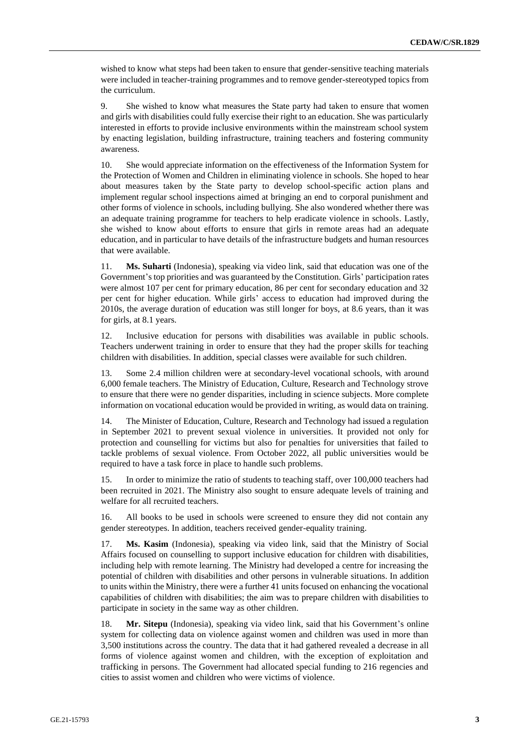wished to know what steps had been taken to ensure that gender-sensitive teaching materials were included in teacher-training programmes and to remove gender-stereotyped topics from the curriculum.

9. She wished to know what measures the State party had taken to ensure that women and girls with disabilities could fully exercise their right to an education. She was particularly interested in efforts to provide inclusive environments within the mainstream school system by enacting legislation, building infrastructure, training teachers and fostering community awareness.

10. She would appreciate information on the effectiveness of the Information System for the Protection of Women and Children in eliminating violence in schools. She hoped to hear about measures taken by the State party to develop school-specific action plans and implement regular school inspections aimed at bringing an end to corporal punishment and other forms of violence in schools, including bullying. She also wondered whether there was an adequate training programme for teachers to help eradicate violence in schools. Lastly, she wished to know about efforts to ensure that girls in remote areas had an adequate education, and in particular to have details of the infrastructure budgets and human resources that were available.

11. **Ms. Suharti** (Indonesia), speaking via video link, said that education was one of the Government's top priorities and was guaranteed by the Constitution. Girls' participation rates were almost 107 per cent for primary education, 86 per cent for secondary education and 32 per cent for higher education. While girls' access to education had improved during the 2010s, the average duration of education was still longer for boys, at 8.6 years, than it was for girls, at 8.1 years.

12. Inclusive education for persons with disabilities was available in public schools. Teachers underwent training in order to ensure that they had the proper skills for teaching children with disabilities. In addition, special classes were available for such children.

13. Some 2.4 million children were at secondary-level vocational schools, with around 6,000 female teachers. The Ministry of Education, Culture, Research and Technology strove to ensure that there were no gender disparities, including in science subjects. More complete information on vocational education would be provided in writing, as would data on training.

14. The Minister of Education, Culture, Research and Technology had issued a regulation in September 2021 to prevent sexual violence in universities. It provided not only for protection and counselling for victims but also for penalties for universities that failed to tackle problems of sexual violence. From October 2022, all public universities would be required to have a task force in place to handle such problems.

15. In order to minimize the ratio of students to teaching staff, over 100,000 teachers had been recruited in 2021. The Ministry also sought to ensure adequate levels of training and welfare for all recruited teachers.

16. All books to be used in schools were screened to ensure they did not contain any gender stereotypes. In addition, teachers received gender-equality training.

17. **Ms. Kasim** (Indonesia), speaking via video link, said that the Ministry of Social Affairs focused on counselling to support inclusive education for children with disabilities, including help with remote learning. The Ministry had developed a centre for increasing the potential of children with disabilities and other persons in vulnerable situations. In addition to units within the Ministry, there were a further 41 units focused on enhancing the vocational capabilities of children with disabilities; the aim was to prepare children with disabilities to participate in society in the same way as other children.

18. **Mr. Sitepu** (Indonesia), speaking via video link, said that his Government's online system for collecting data on violence against women and children was used in more than 3,500 institutions across the country. The data that it had gathered revealed a decrease in all forms of violence against women and children, with the exception of exploitation and trafficking in persons. The Government had allocated special funding to 216 regencies and cities to assist women and children who were victims of violence.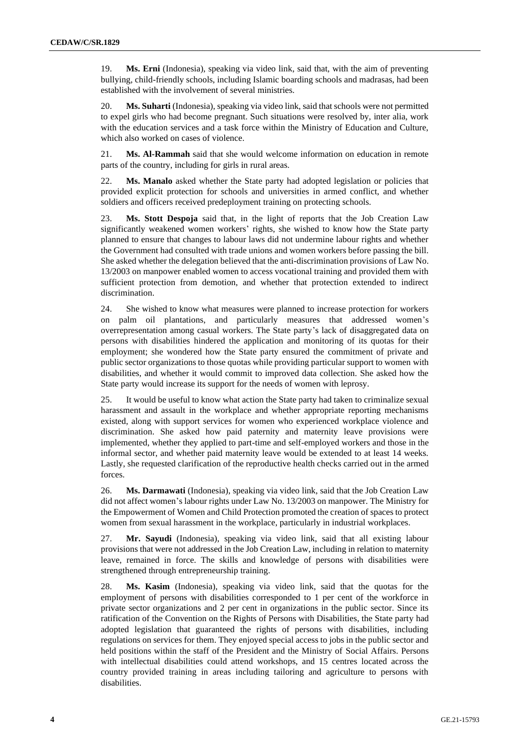19. **Ms. Erni** (Indonesia), speaking via video link, said that, with the aim of preventing bullying, child-friendly schools, including Islamic boarding schools and madrasas, had been established with the involvement of several ministries.

20. **Ms. Suharti** (Indonesia), speaking via video link, said that schools were not permitted to expel girls who had become pregnant. Such situations were resolved by, inter alia, work with the education services and a task force within the Ministry of Education and Culture, which also worked on cases of violence.

21. **Ms. Al-Rammah** said that she would welcome information on education in remote parts of the country, including for girls in rural areas.

22. **Ms. Manalo** asked whether the State party had adopted legislation or policies that provided explicit protection for schools and universities in armed conflict, and whether soldiers and officers received predeployment training on protecting schools.

23. **Ms. Stott Despoja** said that, in the light of reports that the Job Creation Law significantly weakened women workers' rights, she wished to know how the State party planned to ensure that changes to labour laws did not undermine labour rights and whether the Government had consulted with trade unions and women workers before passing the bill. She asked whether the delegation believed that the anti-discrimination provisions of Law No. 13/2003 on manpower enabled women to access vocational training and provided them with sufficient protection from demotion, and whether that protection extended to indirect discrimination.

24. She wished to know what measures were planned to increase protection for workers on palm oil plantations, and particularly measures that addressed women's overrepresentation among casual workers. The State party's lack of disaggregated data on persons with disabilities hindered the application and monitoring of its quotas for their employment; she wondered how the State party ensured the commitment of private and public sector organizations to those quotas while providing particular support to women with disabilities, and whether it would commit to improved data collection. She asked how the State party would increase its support for the needs of women with leprosy.

25. It would be useful to know what action the State party had taken to criminalize sexual harassment and assault in the workplace and whether appropriate reporting mechanisms existed, along with support services for women who experienced workplace violence and discrimination. She asked how paid paternity and maternity leave provisions were implemented, whether they applied to part-time and self-employed workers and those in the informal sector, and whether paid maternity leave would be extended to at least 14 weeks. Lastly, she requested clarification of the reproductive health checks carried out in the armed forces.

26. **Ms. Darmawati** (Indonesia), speaking via video link, said that the Job Creation Law did not affect women's labour rights under Law No. 13/2003 on manpower. The Ministry for the Empowerment of Women and Child Protection promoted the creation of spaces to protect women from sexual harassment in the workplace, particularly in industrial workplaces.

27. **Mr. Sayudi** (Indonesia), speaking via video link, said that all existing labour provisions that were not addressed in the Job Creation Law, including in relation to maternity leave, remained in force. The skills and knowledge of persons with disabilities were strengthened through entrepreneurship training.

28. **Ms. Kasim** (Indonesia), speaking via video link, said that the quotas for the employment of persons with disabilities corresponded to 1 per cent of the workforce in private sector organizations and 2 per cent in organizations in the public sector. Since its ratification of the Convention on the Rights of Persons with Disabilities, the State party had adopted legislation that guaranteed the rights of persons with disabilities, including regulations on services for them. They enjoyed special access to jobs in the public sector and held positions within the staff of the President and the Ministry of Social Affairs. Persons with intellectual disabilities could attend workshops, and 15 centres located across the country provided training in areas including tailoring and agriculture to persons with disabilities.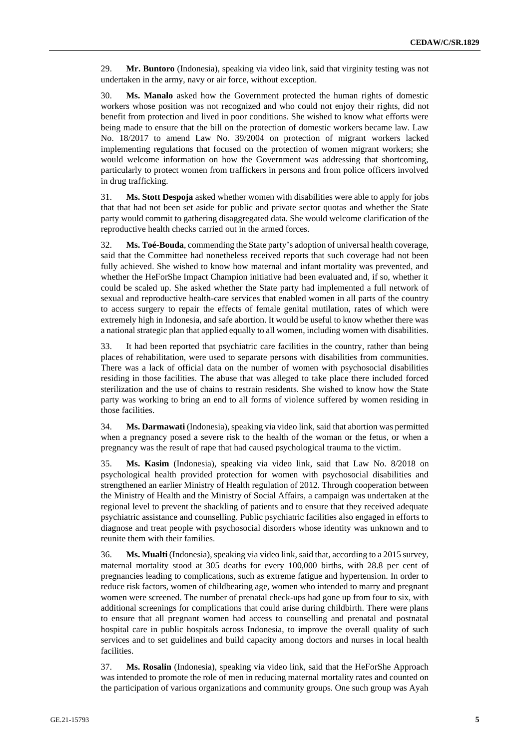29. **Mr. Buntoro** (Indonesia), speaking via video link, said that virginity testing was not undertaken in the army, navy or air force, without exception.

30. **Ms. Manalo** asked how the Government protected the human rights of domestic workers whose position was not recognized and who could not enjoy their rights, did not benefit from protection and lived in poor conditions. She wished to know what efforts were being made to ensure that the bill on the protection of domestic workers became law. Law No. 18/2017 to amend Law No. 39/2004 on protection of migrant workers lacked implementing regulations that focused on the protection of women migrant workers; she would welcome information on how the Government was addressing that shortcoming, particularly to protect women from traffickers in persons and from police officers involved in drug trafficking.

31. **Ms. Stott Despoja** asked whether women with disabilities were able to apply for jobs that that had not been set aside for public and private sector quotas and whether the State party would commit to gathering disaggregated data. She would welcome clarification of the reproductive health checks carried out in the armed forces.

32. **Ms. Toé-Bouda**, commending the State party's adoption of universal health coverage, said that the Committee had nonetheless received reports that such coverage had not been fully achieved. She wished to know how maternal and infant mortality was prevented, and whether the HeForShe Impact Champion initiative had been evaluated and, if so, whether it could be scaled up. She asked whether the State party had implemented a full network of sexual and reproductive health-care services that enabled women in all parts of the country to access surgery to repair the effects of female genital mutilation, rates of which were extremely high in Indonesia, and safe abortion. It would be useful to know whether there was a national strategic plan that applied equally to all women, including women with disabilities.

33. It had been reported that psychiatric care facilities in the country, rather than being places of rehabilitation, were used to separate persons with disabilities from communities. There was a lack of official data on the number of women with psychosocial disabilities residing in those facilities. The abuse that was alleged to take place there included forced sterilization and the use of chains to restrain residents. She wished to know how the State party was working to bring an end to all forms of violence suffered by women residing in those facilities.

34. **Ms. Darmawati** (Indonesia), speaking via video link, said that abortion was permitted when a pregnancy posed a severe risk to the health of the woman or the fetus, or when a pregnancy was the result of rape that had caused psychological trauma to the victim.

35. **Ms. Kasim** (Indonesia), speaking via video link, said that Law No. 8/2018 on psychological health provided protection for women with psychosocial disabilities and strengthened an earlier Ministry of Health regulation of 2012. Through cooperation between the Ministry of Health and the Ministry of Social Affairs, a campaign was undertaken at the regional level to prevent the shackling of patients and to ensure that they received adequate psychiatric assistance and counselling. Public psychiatric facilities also engaged in efforts to diagnose and treat people with psychosocial disorders whose identity was unknown and to reunite them with their families.

36. **Ms. Mualti** (Indonesia), speaking via video link, said that, according to a 2015 survey, maternal mortality stood at 305 deaths for every 100,000 births, with 28.8 per cent of pregnancies leading to complications, such as extreme fatigue and hypertension. In order to reduce risk factors, women of childbearing age, women who intended to marry and pregnant women were screened. The number of prenatal check-ups had gone up from four to six, with additional screenings for complications that could arise during childbirth. There were plans to ensure that all pregnant women had access to counselling and prenatal and postnatal hospital care in public hospitals across Indonesia, to improve the overall quality of such services and to set guidelines and build capacity among doctors and nurses in local health facilities.

37. **Ms. Rosalin** (Indonesia), speaking via video link, said that the HeForShe Approach was intended to promote the role of men in reducing maternal mortality rates and counted on the participation of various organizations and community groups. One such group was Ayah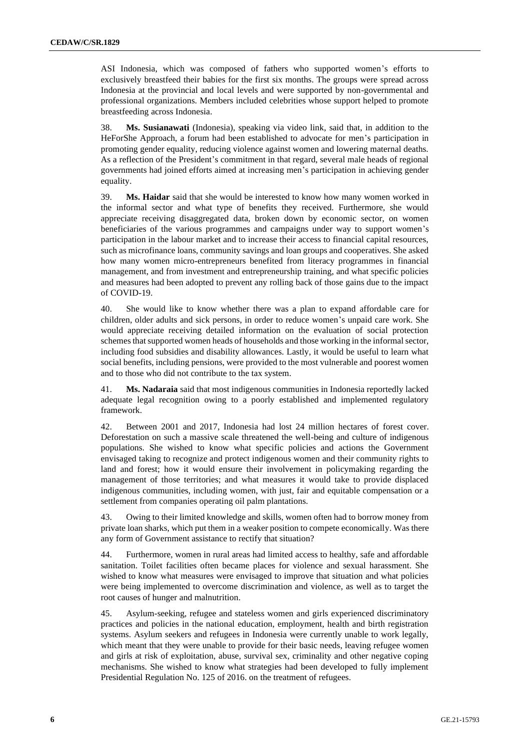ASI Indonesia, which was composed of fathers who supported women's efforts to exclusively breastfeed their babies for the first six months. The groups were spread across Indonesia at the provincial and local levels and were supported by non-governmental and professional organizations. Members included celebrities whose support helped to promote breastfeeding across Indonesia.

38. **Ms. Susianawati** (Indonesia), speaking via video link, said that, in addition to the HeForShe Approach, a forum had been established to advocate for men's participation in promoting gender equality, reducing violence against women and lowering maternal deaths. As a reflection of the President's commitment in that regard, several male heads of regional governments had joined efforts aimed at increasing men's participation in achieving gender equality.

39. **Ms. Haidar** said that she would be interested to know how many women worked in the informal sector and what type of benefits they received. Furthermore, she would appreciate receiving disaggregated data, broken down by economic sector, on women beneficiaries of the various programmes and campaigns under way to support women's participation in the labour market and to increase their access to financial capital resources, such as microfinance loans, community savings and loan groups and cooperatives. She asked how many women micro-entrepreneurs benefited from literacy programmes in financial management, and from investment and entrepreneurship training, and what specific policies and measures had been adopted to prevent any rolling back of those gains due to the impact of COVID-19.

40. She would like to know whether there was a plan to expand affordable care for children, older adults and sick persons, in order to reduce women's unpaid care work. She would appreciate receiving detailed information on the evaluation of social protection schemes that supported women heads of households and those working in the informal sector, including food subsidies and disability allowances. Lastly, it would be useful to learn what social benefits, including pensions, were provided to the most vulnerable and poorest women and to those who did not contribute to the tax system.

41. **Ms. Nadaraia** said that most indigenous communities in Indonesia reportedly lacked adequate legal recognition owing to a poorly established and implemented regulatory framework.

42. Between 2001 and 2017, Indonesia had lost 24 million hectares of forest cover. Deforestation on such a massive scale threatened the well-being and culture of indigenous populations. She wished to know what specific policies and actions the Government envisaged taking to recognize and protect indigenous women and their community rights to land and forest; how it would ensure their involvement in policymaking regarding the management of those territories; and what measures it would take to provide displaced indigenous communities, including women, with just, fair and equitable compensation or a settlement from companies operating oil palm plantations.

43. Owing to their limited knowledge and skills, women often had to borrow money from private loan sharks, which put them in a weaker position to compete economically. Was there any form of Government assistance to rectify that situation?

44. Furthermore, women in rural areas had limited access to healthy, safe and affordable sanitation. Toilet facilities often became places for violence and sexual harassment. She wished to know what measures were envisaged to improve that situation and what policies were being implemented to overcome discrimination and violence, as well as to target the root causes of hunger and malnutrition.

45. Asylum-seeking, refugee and stateless women and girls experienced discriminatory practices and policies in the national education, employment, health and birth registration systems. Asylum seekers and refugees in Indonesia were currently unable to work legally, which meant that they were unable to provide for their basic needs, leaving refugee women and girls at risk of exploitation, abuse, survival sex, criminality and other negative coping mechanisms. She wished to know what strategies had been developed to fully implement Presidential Regulation No. 125 of 2016. on the treatment of refugees.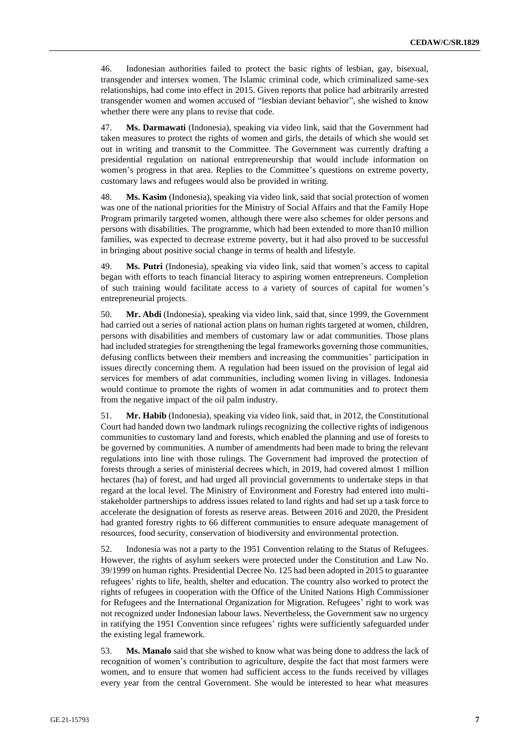46. Indonesian authorities failed to protect the basic rights of lesbian, gay, bisexual, transgender and intersex women. The Islamic criminal code, which criminalized same-sex relationships, had come into effect in 2015. Given reports that police had arbitrarily arrested transgender women and women accused of "lesbian deviant behavior", she wished to know whether there were any plans to revise that code.

47. **Ms. Darmawati** (Indonesia), speaking via video link, said that the Government had taken measures to protect the rights of women and girls, the details of which she would set out in writing and transmit to the Committee. The Government was currently drafting a presidential regulation on national entrepreneurship that would include information on women's progress in that area. Replies to the Committee's questions on extreme poverty, customary laws and refugees would also be provided in writing.

48. **Ms. Kasim** (Indonesia), speaking via video link, said that social protection of women was one of the national priorities for the Ministry of Social Affairs and that the Family Hope Program primarily targeted women, although there were also schemes for older persons and persons with disabilities. The programme, which had been extended to more than10 million families, was expected to decrease extreme poverty, but it had also proved to be successful in bringing about positive social change in terms of health and lifestyle.

49. **Ms. Putri** (Indonesia), speaking via video link, said that women's access to capital began with efforts to teach financial literacy to aspiring women entrepreneurs. Completion of such training would facilitate access to a variety of sources of capital for women's entrepreneurial projects.

50. **Mr. Abdi** (Indonesia), speaking via video link, said that, since 1999, the Government had carried out a series of national action plans on human rights targeted at women, children, persons with disabilities and members of customary law or adat communities. Those plans had included strategies for strengthening the legal frameworks governing those communities, defusing conflicts between their members and increasing the communities' participation in issues directly concerning them. A regulation had been issued on the provision of legal aid services for members of adat communities, including women living in villages. Indonesia would continue to promote the rights of women in adat communities and to protect them from the negative impact of the oil palm industry.

51. **Mr. Habib** (Indonesia), speaking via video link, said that, in 2012, the Constitutional Court had handed down two landmark rulings recognizing the collective rights of indigenous communities to customary land and forests, which enabled the planning and use of forests to be governed by communities. A number of amendments had been made to bring the relevant regulations into line with those rulings. The Government had improved the protection of forests through a series of ministerial decrees which, in 2019, had covered almost 1 million hectares (ha) of forest, and had urged all provincial governments to undertake steps in that regard at the local level. The Ministry of Environment and Forestry had entered into multistakeholder partnerships to address issues related to land rights and had set up a task force to accelerate the designation of forests as reserve areas. Between 2016 and 2020, the President had granted forestry rights to 66 different communities to ensure adequate management of resources, food security, conservation of biodiversity and environmental protection.

52. Indonesia was not a party to the 1951 Convention relating to the Status of Refugees. However, the rights of asylum seekers were protected under the Constitution and Law No. 39/1999 on human rights. Presidential Decree No. 125 had been adopted in 2015 to guarantee refugees' rights to life, health, shelter and education. The country also worked to protect the rights of refugees in cooperation with the Office of the United Nations High Commissioner for Refugees and the International Organization for Migration. Refugees' right to work was not recognized under Indonesian labour laws. Nevertheless, the Government saw no urgency in ratifying the 1951 Convention since refugees' rights were sufficiently safeguarded under the existing legal framework.

53. **Ms. Manalo** said that she wished to know what was being done to address the lack of recognition of women's contribution to agriculture, despite the fact that most farmers were women, and to ensure that women had sufficient access to the funds received by villages every year from the central Government. She would be interested to hear what measures